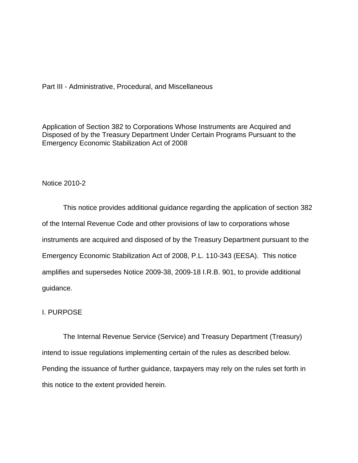Part III - Administrative, Procedural, and Miscellaneous

Application of Section 382 to Corporations Whose Instruments are Acquired and Disposed of by the Treasury Department Under Certain Programs Pursuant to the Emergency Economic Stabilization Act of 2008

# Notice 2010-2

This notice provides additional guidance regarding the application of section 382 of the Internal Revenue Code and other provisions of law to corporations whose instruments are acquired and disposed of by the Treasury Department pursuant to the Emergency Economic Stabilization Act of 2008, P.L. 110-343 (EESA). This notice amplifies and supersedes Notice 2009-38, 2009-18 I.R.B. 901, to provide additional guidance.

### I. PURPOSE

The Internal Revenue Service (Service) and Treasury Department (Treasury) intend to issue regulations implementing certain of the rules as described below. Pending the issuance of further guidance, taxpayers may rely on the rules set forth in this notice to the extent provided herein.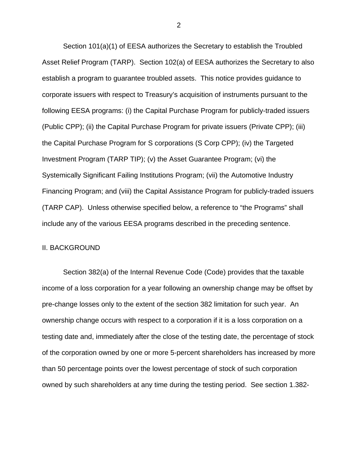Section 101(a)(1) of EESA authorizes the Secretary to establish the Troubled Asset Relief Program (TARP). Section 102(a) of EESA authorizes the Secretary to also establish a program to guarantee troubled assets. This notice provides guidance to corporate issuers with respect to Treasury's acquisition of instruments pursuant to the following EESA programs: (i) the Capital Purchase Program for publicly-traded issuers (Public CPP); (ii) the Capital Purchase Program for private issuers (Private CPP); (iii) the Capital Purchase Program for S corporations (S Corp CPP); (iv) the Targeted Investment Program (TARP TIP); (v) the Asset Guarantee Program; (vi) the Systemically Significant Failing Institutions Program; (vii) the Automotive Industry Financing Program; and (viii) the Capital Assistance Program for publicly-traded issuers (TARP CAP). Unless otherwise specified below, a reference to "the Programs" shall include any of the various EESA programs described in the preceding sentence.

#### II. BACKGROUND

Section 382(a) of the Internal Revenue Code (Code) provides that the taxable income of a loss corporation for a year following an ownership change may be offset by pre-change losses only to the extent of the section 382 limitation for such year. An ownership change occurs with respect to a corporation if it is a loss corporation on a testing date and, immediately after the close of the testing date, the percentage of stock of the corporation owned by one or more 5-percent shareholders has increased by more than 50 percentage points over the lowest percentage of stock of such corporation owned by such shareholders at any time during the testing period. See section 1.382-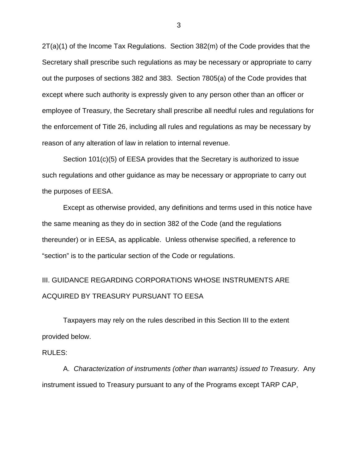2T(a)(1) of the Income Tax Regulations. Section 382(m) of the Code provides that the Secretary shall prescribe such regulations as may be necessary or appropriate to carry out the purposes of sections 382 and 383. Section 7805(a) of the Code provides that except where such authority is expressly given to any person other than an officer or employee of Treasury, the Secretary shall prescribe all needful rules and regulations for the enforcement of Title 26, including all rules and regulations as may be necessary by reason of any alteration of law in relation to internal revenue.

Section 101(c)(5) of EESA provides that the Secretary is authorized to issue such regulations and other guidance as may be necessary or appropriate to carry out the purposes of EESA.

Except as otherwise provided, any definitions and terms used in this notice have the same meaning as they do in section 382 of the Code (and the regulations thereunder) or in EESA, as applicable. Unless otherwise specified, a reference to "section" is to the particular section of the Code or regulations.

# III. GUIDANCE REGARDING CORPORATIONS WHOSE INSTRUMENTS ARE ACQUIRED BY TREASURY PURSUANT TO EESA

Taxpayers may rely on the rules described in this Section III to the extent provided below.

#### RULES:

A. *Characterization of instruments (other than warrants) issued to Treasury*. Any instrument issued to Treasury pursuant to any of the Programs except TARP CAP,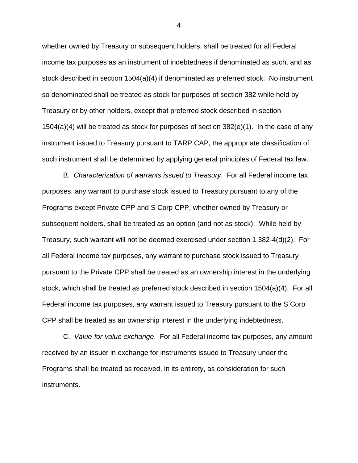whether owned by Treasury or subsequent holders, shall be treated for all Federal income tax purposes as an instrument of indebtedness if denominated as such, and as stock described in section 1504(a)(4) if denominated as preferred stock. No instrument so denominated shall be treated as stock for purposes of section 382 while held by Treasury or by other holders, except that preferred stock described in section  $1504(a)(4)$  will be treated as stock for purposes of section  $382(e)(1)$ . In the case of any instrument issued to Treasury pursuant to TARP CAP, the appropriate classification of such instrument shall be determined by applying general principles of Federal tax law.

B. *Characterization of warrants issued to Treasury*. For all Federal income tax purposes, any warrant to purchase stock issued to Treasury pursuant to any of the Programs except Private CPP and S Corp CPP, whether owned by Treasury or subsequent holders, shall be treated as an option (and not as stock). While held by Treasury, such warrant will not be deemed exercised under section 1.382-4(d)(2). For all Federal income tax purposes, any warrant to purchase stock issued to Treasury pursuant to the Private CPP shall be treated as an ownership interest in the underlying stock, which shall be treated as preferred stock described in section 1504(a)(4). For all Federal income tax purposes, any warrant issued to Treasury pursuant to the S Corp CPP shall be treated as an ownership interest in the underlying indebtedness.

C. *Value-for-value exchange*. For all Federal income tax purposes, any amount received by an issuer in exchange for instruments issued to Treasury under the Programs shall be treated as received, in its entirety, as consideration for such instruments.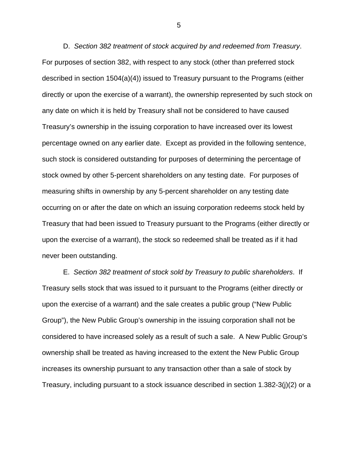D. *Section 382 treatment of stock acquired by and redeemed from Treasury*. For purposes of section 382, with respect to any stock (other than preferred stock described in section 1504(a)(4)) issued to Treasury pursuant to the Programs (either directly or upon the exercise of a warrant), the ownership represented by such stock on any date on which it is held by Treasury shall not be considered to have caused Treasury's ownership in the issuing corporation to have increased over its lowest percentage owned on any earlier date. Except as provided in the following sentence, such stock is considered outstanding for purposes of determining the percentage of stock owned by other 5-percent shareholders on any testing date. For purposes of measuring shifts in ownership by any 5-percent shareholder on any testing date occurring on or after the date on which an issuing corporation redeems stock held by Treasury that had been issued to Treasury pursuant to the Programs (either directly or upon the exercise of a warrant), the stock so redeemed shall be treated as if it had never been outstanding.

E. *Section 382 treatment of stock sold by Treasury to public shareholders*. If Treasury sells stock that was issued to it pursuant to the Programs (either directly or upon the exercise of a warrant) and the sale creates a public group ("New Public Group"), the New Public Group's ownership in the issuing corporation shall not be considered to have increased solely as a result of such a sale. A New Public Group's ownership shall be treated as having increased to the extent the New Public Group increases its ownership pursuant to any transaction other than a sale of stock by Treasury, including pursuant to a stock issuance described in section 1.382-3(j)(2) or a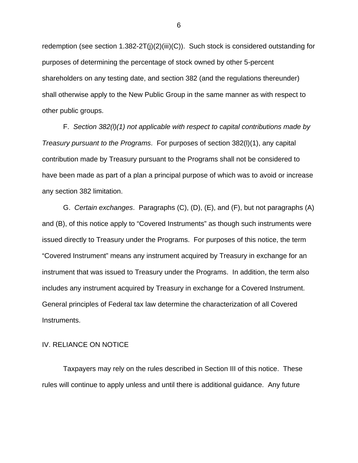redemption (see section 1.382-2T(j)(2)(iii)(C)). Such stock is considered outstanding for purposes of determining the percentage of stock owned by other 5-percent shareholders on any testing date, and section 382 (and the regulations thereunder) shall otherwise apply to the New Public Group in the same manner as with respect to other public groups.

F. *Section 382(l)(1) not applicable with respect to capital contributions made by Treasury pursuant to the Programs*. For purposes of section 382(l)(1), any capital contribution made by Treasury pursuant to the Programs shall not be considered to have been made as part of a plan a principal purpose of which was to avoid or increase any section 382 limitation.

G. *Certain exchanges*. Paragraphs (C), (D), (E), and (F), but not paragraphs (A) and (B), of this notice apply to "Covered Instruments" as though such instruments were issued directly to Treasury under the Programs. For purposes of this notice, the term "Covered Instrument" means any instrument acquired by Treasury in exchange for an instrument that was issued to Treasury under the Programs. In addition, the term also includes any instrument acquired by Treasury in exchange for a Covered Instrument. General principles of Federal tax law determine the characterization of all Covered Instruments.

# IV. RELIANCE ON NOTICE

Taxpayers may rely on the rules described in Section III of this notice. These rules will continue to apply unless and until there is additional guidance. Any future